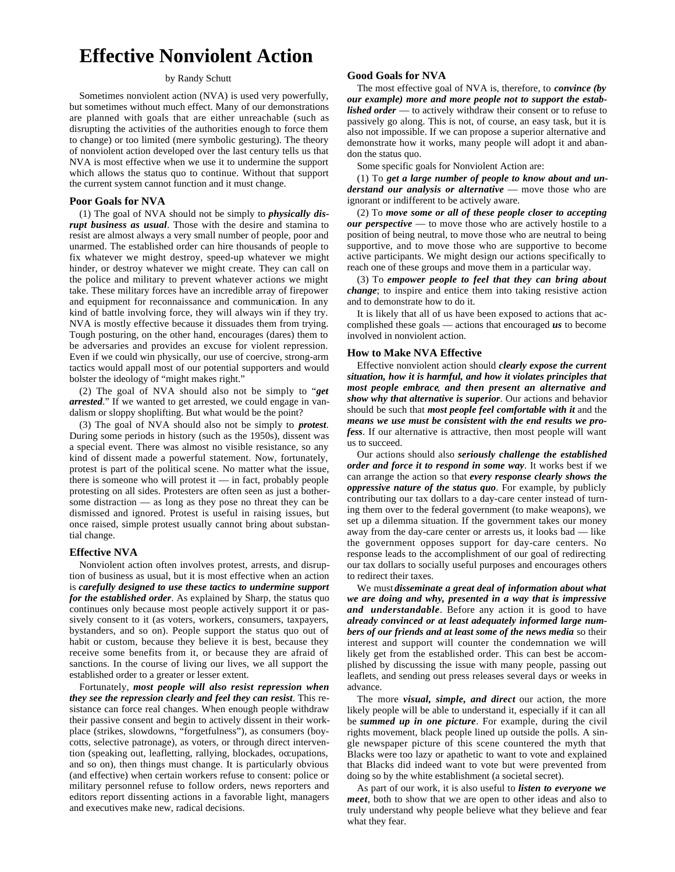# **Effective Nonviolent Action**

## by Randy Schutt

Sometimes nonviolent action (NVA) is used very powerfully, but sometimes without much effect. Many of our demonstrations are planned with goals that are either unreachable (such as disrupting the activities of the authorities enough to force them to change) or too limited (mere symbolic gesturing). The theory of nonviolent action developed over the last century tells us that NVA is most effective when we use it to undermine the support which allows the status quo to continue. Without that support the current system cannot function and it must change.

#### **Poor Goals for NVA**

(1) The goal of NVA should not be simply to *physically disrupt business as usual*. Those with the desire and stamina to resist are almost always a very small number of people, poor and unarmed. The established order can hire thousands of people to fix whatever we might destroy, speed-up whatever we might hinder, or destroy whatever we might create. They can call on the police and military to prevent whatever actions we might take. These military forces have an incredible array of firepower and equipment for reconnaissance and communication. In any kind of battle involving force, they will always win if they try. NVA is mostly effective because it dissuades them from trying. Tough posturing, on the other hand, encourages (dares) them to be adversaries and provides an excuse for violent repression. Even if we could win physically, our use of coercive, strong-arm tactics would appall most of our potential supporters and would bolster the ideology of "might makes right."

(2) The goal of NVA should also not be simply to "*get arrested*." If we wanted to get arrested, we could engage in vandalism or sloppy shoplifting. But what would be the point?

(3) The goal of NVA should also not be simply to *protest*. During some periods in history (such as the 1950s), dissent was a special event. There was almost no visible resistance, so any kind of dissent made a powerful statement. Now, fortunately, protest is part of the political scene. No matter what the issue, there is someone who will protest it — in fact, probably people protesting on all sides. Protesters are often seen as just a bothersome distraction — as long as they pose no threat they can be dismissed and ignored. Protest is useful in raising issues, but once raised, simple protest usually cannot bring about substantial change.

## **Effective NVA**

Nonviolent action often involves protest, arrests, and disruption of business as usual, but it is most effective when an action is *carefully designed to use these tactics to undermine support for the established order*. As explained by Sharp, the status quo continues only because most people actively support it or passively consent to it (as voters, workers, consumers, taxpayers, bystanders, and so on). People support the status quo out of habit or custom, because they believe it is best, because they receive some benefits from it, or because they are afraid of sanctions. In the course of living our lives, we all support the established order to a greater or lesser extent.

Fortunately, *most people will also resist repression when they see the repression clearly and feel they can resist*. This resistance can force real changes. When enough people withdraw their passive consent and begin to actively dissent in their workplace (strikes, slowdowns, "forgetfulness"), as consumers (boycotts, selective patronage), as voters, or through direct intervention (speaking out, leafletting, rallying, blockades, occupations, and so on), then things must change. It is particularly obvious (and effective) when certain workers refuse to consent: police or military personnel refuse to follow orders, news reporters and editors report dissenting actions in a favorable light, managers and executives make new, radical decisions.

## **Good Goals for NVA**

The most effective goal of NVA is, therefore, to *convince (by our example) more and more people not to support the established order* — to actively withdraw their consent or to refuse to passively go along. This is not, of course, an easy task, but it is also not impossible. If we can propose a superior alternative and demonstrate how it works, many people will adopt it and abandon the status quo.

Some specific goals for Nonviolent Action are:

(1) To *get a large number of people to know about and understand our analysis or alternative* — move those who are ignorant or indifferent to be actively aware.

(2) To *move some or all of these people closer to accepting our perspective* — to move those who are actively hostile to a position of being neutral, to move those who are neutral to being supportive, and to move those who are supportive to become active participants. We might design our actions specifically to reach one of these groups and move them in a particular way.

(3) To *empower people to feel that they can bring about change*; to inspire and entice them into taking resistive action and to demonstrate how to do it.

It is likely that all of us have been exposed to actions that accomplished these goals — actions that encouraged *us* to become involved in nonviolent action.

#### **How to Make NVA Effective**

Effective nonviolent action should *clearly expose the current situation, how it is harmful, and how it violates principles that most people embrace*, *and then present an alternative and show why that alternative is superior*. Our actions and behavior should be such that *most people feel comfortable with it* and the *means we use must be consistent with the end results we profess*. If our alternative is attractive, then most people will want us to succeed.

Our actions should also *seriously challenge the established order and force it to respond in some way*. It works best if we can arrange the action so that *every response clearly shows the oppressive nature of the status quo*. For example, by publicly contributing our tax dollars to a day-care center instead of turning them over to the federal government (to make weapons), we set up a dilemma situation. If the government takes our money away from the day-care center or arrests us, it looks bad — like the government opposes support for day-care centers. No response leads to the accomplishment of our goal of redirecting our tax dollars to socially useful purposes and encourages others to redirect their taxes.

We must *disseminate a great deal of information about what we are doing and why, presented in a way that is impressive and understandable*. Before any action it is good to have *already convinced or at least adequately informed large numbers of our friends and at least some of the news media* so their interest and support will counter the condemnation we will likely get from the established order. This can best be accomplished by discussing the issue with many people, passing out leaflets, and sending out press releases several days or weeks in advance.

The more *visual, simple, and direct* our action, the more likely people will be able to understand it, especially if it can all be *summed up in one picture*. For example, during the civil rights movement, black people lined up outside the polls. A single newspaper picture of this scene countered the myth that Blacks were too lazy or apathetic to want to vote and explained that Blacks did indeed want to vote but were prevented from doing so by the white establishment (a societal secret).

As part of our work, it is also useful to *listen to everyone we meet*, both to show that we are open to other ideas and also to truly understand why people believe what they believe and fear what they fear.